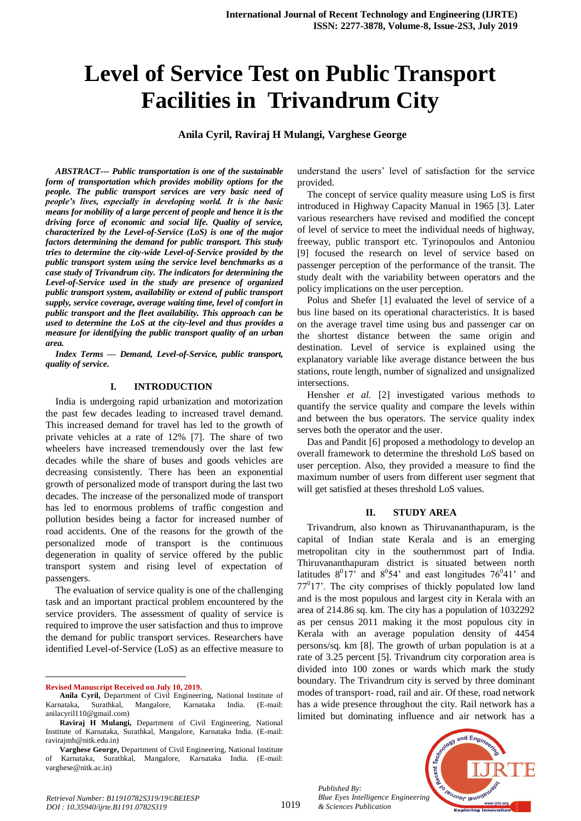# **Level of Service Test on Public Transport Facilities in Trivandrum City**

**Anila Cyril, Raviraj H Mulangi, Varghese George**

*ABSTRACT--- Public transportation is one of the sustainable form of transportation which provides mobility options for the people. The public transport services are very basic need of people's lives, especially in developing world. It is the basic means for mobility of a large percent of people and hence it is the driving force of economic and social life. Quality of service, characterized by the Level-of-Service (LoS) is one of the major factors determining the demand for public transport. This study tries to determine the city-wide Level-of-Service provided by the public transport system using the service level benchmarks as a case study of Trivandrum city. The indicators for determining the Level-of-Service used in the study are presence of organized public transport system, availability or extend of public transport supply, service coverage, average waiting time, level of comfort in public transport and the fleet availability. This approach can be used to determine the LoS at the city-level and thus provides a measure for identifying the public transport quality of an urban area.*

*Index Terms — Demand, Level-of-Service, public transport, quality of service.*

#### **I. INTRODUCTION**

India is undergoing rapid urbanization and motorization the past few decades leading to increased travel demand. This increased demand for travel has led to the growth of private vehicles at a rate of 12% [7]. The share of two wheelers have increased tremendously over the last few decades while the share of buses and goods vehicles are decreasing consistently. There has been an exponential growth of personalized mode of transport during the last two decades. The increase of the personalized mode of transport has led to enormous problems of traffic congestion and pollution besides being a factor for increased number of road accidents. One of the reasons for the growth of the personalized mode of transport is the continuous degeneration in quality of service offered by the public transport system and rising level of expectation of passengers.

The evaluation of service quality is one of the challenging task and an important practical problem encountered by the service providers. The assessment of quality of service is required to improve the user satisfaction and thus to improve the demand for public transport services. Researchers have identified Level-of-Service (LoS) as an effective measure to

**Revised Manuscript Received on July 10, 2019.**

 $\ddot{\phantom{a}}$ 

*Retrieval Number: B11910782S319/19©BEIESP DOI : 10.35940/ijrte.B1191.0782S319*

understand the users' level of satisfaction for the service provided.

The concept of service quality measure using LoS is first introduced in Highway Capacity Manual in 1965 [3]. Later various researchers have revised and modified the concept of level of service to meet the individual needs of highway, freeway, public transport etc. Tyrinopoulos and Antoniou [9] focused the research on level of service based on passenger perception of the performance of the transit. The study dealt with the variability between operators and the policy implications on the user perception.

Polus and Shefer [1] evaluated the level of service of a bus line based on its operational characteristics. It is based on the average travel time using bus and passenger car on the shortest distance between the same origin and destination. Level of service is explained using the explanatory variable like average distance between the bus stations, route length, number of signalized and unsignalized intersections.

Hensher *et al.* [2] investigated various methods to quantify the service quality and compare the levels within and between the bus operators. The service quality index serves both the operator and the user.

Das and Pandit [6] proposed a methodology to develop an overall framework to determine the threshold LoS based on user perception. Also, they provided a measure to find the maximum number of users from different user segment that will get satisfied at theses threshold LoS values.

#### **II. STUDY AREA**

Trivandrum, also known as Thiruvananthapuram, is the capital of Indian state Kerala and is an emerging metropolitan city in the southernmost part of India. Thiruvananthapuram district is situated between north latitudes  $8^017$ ' and  $8^054$ ' and east longitudes  $76^041$ ' and  $77<sup>0</sup>17'$ . The city comprises of thickly populated low land and is the most populous and largest city in Kerala with an area of 214.86 sq. km. The city has a population of 1032292 as per census 2011 making it the most populous city in Kerala with an average population density of 4454 persons/sq. km [8]. The growth of urban population is at a rate of 3.25 percent [5]. Trivandrum city corporation area is divided into 100 zones or wards which mark the study boundary. The Trivandrum city is served by three dominant modes of transport- road, rail and air. Of these, road network has a wide presence throughout the city. Rail network has a limited but dominating influence and air network has a

*Published By: Blue Eyes Intelligence Engineering & Sciences Publication* 



**Anila Cyril,** Department of Civil Engineering, National Institute of Karnataka, Surathkal, Mangalore, Karnataka India. (E-mail: anilacyril110@gmail.com)

**Raviraj H Mulangi,** Department of Civil Engineering, National Institute of Karnataka, Surathkal, Mangalore, Karnataka India. (E-mail: ravirajmh@nitk.edu.in)

**Varghese George,** Department of Civil Engineering, National Institute Karnataka, Surathkal, Mangalore, Karnataka India. (E-mail: varghese@nitk.ac.in)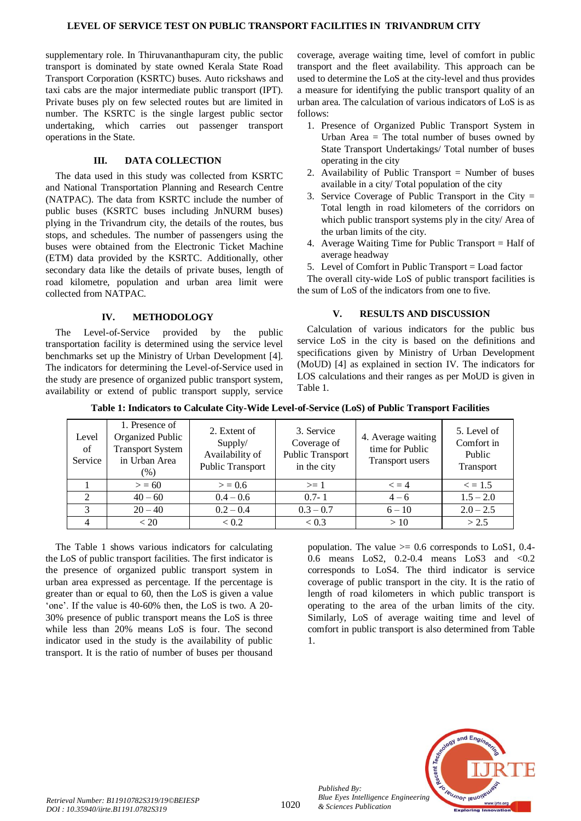supplementary role. In Thiruvananthapuram city, the public transport is dominated by state owned Kerala State Road Transport Corporation (KSRTC) buses. Auto rickshaws and taxi cabs are the major intermediate public transport (IPT). Private buses ply on few selected routes but are limited in number. The KSRTC is the single largest public sector undertaking, which carries out passenger transport operations in the State.

# **III. DATA COLLECTION**

The data used in this study was collected from KSRTC and National Transportation Planning and Research Centre (NATPAC). The data from KSRTC include the number of public buses (KSRTC buses including JnNURM buses) plying in the Trivandrum city, the details of the routes, bus stops, and schedules. The number of passengers using the buses were obtained from the Electronic Ticket Machine (ETM) data provided by the KSRTC. Additionally, other secondary data like the details of private buses, length of road kilometre, population and urban area limit were collected from NATPAC.

## **IV. METHODOLOGY**

The Level-of-Service provided by the public transportation facility is determined using the service level benchmarks set up the Ministry of Urban Development [4]. The indicators for determining the Level-of-Service used in the study are presence of organized public transport system, availability or extend of public transport supply, service coverage, average waiting time, level of comfort in public transport and the fleet availability. This approach can be used to determine the LoS at the city-level and thus provides a measure for identifying the public transport quality of an urban area. The calculation of various indicators of LoS is as follows:

- 1. Presence of Organized Public Transport System in Urban Area  $=$  The total number of buses owned by State Transport Undertakings/ Total number of buses operating in the city
- 2. Availability of Public Transport = Number of buses available in a city/ Total population of the city
- 3. Service Coverage of Public Transport in the City = Total length in road kilometers of the corridors on which public transport systems ply in the city/ Area of the urban limits of the city.
- 4. Average Waiting Time for Public Transport = Half of average headway
- 5. Level of Comfort in Public Transport = Load factor

The overall city-wide LoS of public transport facilities is the sum of LoS of the indicators from one to five.

# **V. RESULTS AND DISCUSSION**

Calculation of various indicators for the public bus service LoS in the city is based on the definitions and specifications given by Ministry of Urban Development (MoUD) [4] as explained in section IV. The indicators for LOS calculations and their ranges as per MoUD is given in Table 1.

| Level<br>of<br>Service | 1. Presence of<br>Organized Public<br><b>Transport System</b><br>in Urban Area<br>$(\%)$ | 2. Extent of<br>Supply/<br>Availability of<br>Public Transport | 3. Service<br>Coverage of<br>Public Transport<br>in the city | 4. Average waiting<br>time for Public<br>Transport users | 5. Level of<br>Comfort in<br>Public<br>Transport |
|------------------------|------------------------------------------------------------------------------------------|----------------------------------------------------------------|--------------------------------------------------------------|----------------------------------------------------------|--------------------------------------------------|
|                        | > 60                                                                                     | > 0.6                                                          | $\geq 1$                                                     | $\epsilon = 4$                                           | $\leq$ = 1.5                                     |
| 2                      | $40 - 60$                                                                                | $0.4 - 0.6$                                                    | $0.7 - 1$                                                    | $4 - 6$                                                  | $1.5 - 2.0$                                      |
| 3                      | $20 - 40$                                                                                | $0.2 - 0.4$                                                    | $0.3 - 0.7$                                                  | $6 - 10$                                                 | $2.0 - 2.5$                                      |
| $\overline{4}$         | < 20                                                                                     | < 0.2                                                          | < 0.3                                                        | >10                                                      | > 2.5                                            |

**Table 1: Indicators to Calculate City-Wide Level-of-Service (LoS) of Public Transport Facilities**

The Table 1 shows various indicators for calculating the LoS of public transport facilities. The first indicator is the presence of organized public transport system in urban area expressed as percentage. If the percentage is greater than or equal to 60, then the LoS is given a value 'one'. If the value is 40-60% then, the LoS is two. A 20- 30% presence of public transport means the LoS is three while less than 20% means LoS is four. The second indicator used in the study is the availability of public transport. It is the ratio of number of buses per thousand

population. The value  $\ge$  0.6 corresponds to LoS1, 0.4-0.6 means LoS2, 0.2-0.4 means LoS3 and <0.2 corresponds to LoS4. The third indicator is service coverage of public transport in the city. It is the ratio of length of road kilometers in which public transport is operating to the area of the urban limits of the city. Similarly, LoS of average waiting time and level of comfort in public transport is also determined from Table 1.



*Published By:*

*& Sciences Publication*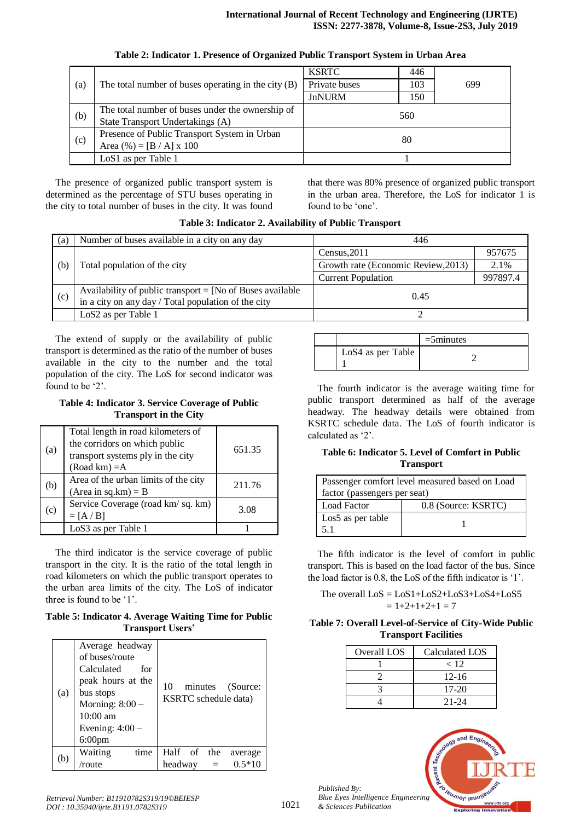| (a) |                                                     | <b>KSRTC</b>  | 446 |     |
|-----|-----------------------------------------------------|---------------|-----|-----|
|     | The total number of buses operating in the city (B) | Private buses | 103 | 699 |
|     |                                                     | <b>JnNURM</b> | 150 |     |
| (b) | The total number of buses under the ownership of    | 560           |     |     |
|     | State Transport Undertakings (A)                    |               |     |     |
|     | Presence of Public Transport System in Urban        |               | 80  |     |
| (c) | Area $(\% ) = [B / A] \times 100$                   |               |     |     |
|     | LoS1 as per Table 1                                 |               |     |     |

### **Table 2: Indicator 1. Presence of Organized Public Transport System in Urban Area**

The presence of organized public transport system is determined as the percentage of STU buses operating in the city to total number of buses in the city. It was found that there was 80% presence of organized public transport in the urban area. Therefore, the LoS for indicator 1 is found to be 'one'.

| (a) | Number of buses available in a city on any day                                                                     | 446                                 |          |
|-----|--------------------------------------------------------------------------------------------------------------------|-------------------------------------|----------|
|     |                                                                                                                    | Census, 2011                        | 957675   |
| (b) | Total population of the city                                                                                       | Growth rate (Economic Review, 2013) | 2.1%     |
|     |                                                                                                                    | <b>Current Population</b>           | 997897.4 |
| (c) | Availability of public transport $=$ [No of Buses available<br>in a city on any day / Total population of the city | 0.45                                |          |
|     | LoS <sub>2</sub> as per Table 1                                                                                    |                                     |          |

**Table 3: Indicator 2. Availability of Public Transport**

The extend of supply or the availability of public transport is determined as the ratio of the number of buses available in the city to the number and the total population of the city. The LoS for second indicator was found to be '2'.

#### **Table 4: Indicator 3. Service Coverage of Public Transport in the City**

| (a) | Total length in road kilometers of<br>the corridors on which public<br>transport systems ply in the city<br>$(Road km) = A$ | 651.35 |
|-----|-----------------------------------------------------------------------------------------------------------------------------|--------|
| (b) | Area of the urban limits of the city<br>$(Area in sq.km) = B$                                                               | 211.76 |
| (c) | Service Coverage (road km/sq. km)<br>$= [A/B]$                                                                              | 3.08   |
|     | LoS3 as per Table 1                                                                                                         |        |

The third indicator is the service coverage of public transport in the city. It is the ratio of the total length in road kilometers on which the public transport operates to the urban area limits of the city. The LoS of indicator three is found to be '1'.

**Table 5: Indicator 4. Average Waiting Time for Public Transport Users'**

| (a) | Average headway<br>of buses/route<br>Calculated<br>for<br>peak hours at the<br>bus stops<br>Morning: $8:00 -$<br>10:00 am<br>Evening: $4:00-$<br>$6:00$ pm | 10<br>minutes<br>(Source:<br>KSRTC schedule data) |
|-----|------------------------------------------------------------------------------------------------------------------------------------------------------------|---------------------------------------------------|
| (b) | Waiting<br>time                                                                                                                                            | Half of<br>the<br>average                         |
|     | /route                                                                                                                                                     | $0.5*10$<br>headway                               |

|                   | $=5$ minutes |
|-------------------|--------------|
| LoS4 as per Table |              |

The fourth indicator is the average waiting time for public transport determined as half of the average headway. The headway details were obtained from KSRTC schedule data. The LoS of fourth indicator is calculated as '2'.

## **Table 6: Indicator 5. Level of Comfort in Public Transport**

| Passenger comfort level measured based on Load |                     |  |
|------------------------------------------------|---------------------|--|
| factor (passengers per seat)                   |                     |  |
| <b>Load Factor</b>                             | 0.8 (Source: KSRTC) |  |
| Los5 as per table                              |                     |  |
| 5.1                                            |                     |  |

The fifth indicator is the level of comfort in public transport. This is based on the load factor of the bus. Since the load factor is 0.8, the LoS of the fifth indicator is '1'.

The overall  $LoS = LoS1+LoS2+LoS3+LoS4+LoS5$  $= 1+2+1+2+1 = 7$ 

## **Table 7: Overall Level-of-Service of City-Wide Public Transport Facilities**

| Overall LOS | Calculated LOS |
|-------------|----------------|
|             | < 12           |
|             | $12 - 16$      |
|             | $17-20$        |
|             | 21-24          |



*Published By:*

*& Sciences Publication*